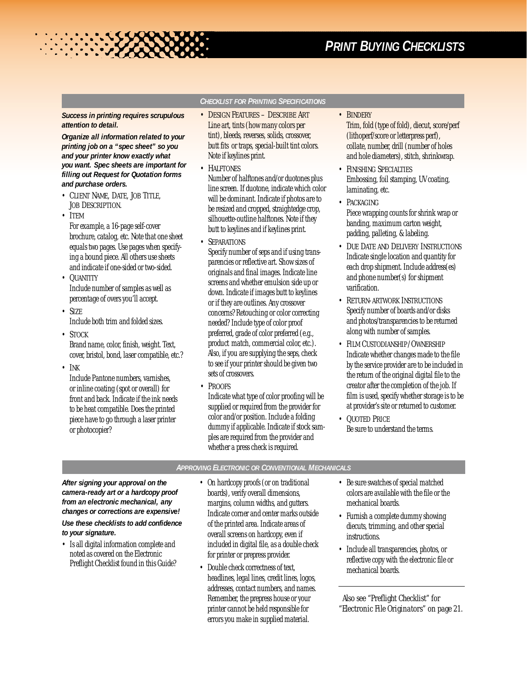# *PRINT BUYING CHECKLISTS*

#### *Success in printing requires scrupulous attention to detail.*

**READERS** 

*Organize all information related to your printing job on a "spec sheet" so you and your printer know exactly what you want. Spec sheets are important for filling out Request for Quotation forms and purchase orders.*

- *CLIENT NAME, DATE, JOB TITLE, JOB DESCRIPTION.*
- *ITEM*

For example, a 16-page self-cover brochure, catalog, etc. Note that one sheet equals two pages. Use pages when specifying a bound piece. All others use sheets and indicate if one-sided or two-sided.

- *QUANTITY* Include number of samples as well as percentage of overs you'll accept.
- *SIZE* Include both trim and folded sizes.
- *STOCK*

Brand name, color, finish, weight. Text, cover, bristol, bond, laser compatible, etc.?

• *INK*

Include Pantone numbers, varnishes, or inline coating (spot or overall) for front and back. Indicate if the ink needs to be heat compatible. Does the printed piece have to go through a laser printer or photocopier?

## *CHECKLIST FOR PRINTING SPECIFICATIONS*

- *DESIGN FEATURES DESCRIBE ART* Line art, tints (how many colors per tint), bleeds, reverses, solids, crossover, butt fits or traps, special-built tint colors. Note if keylines print.
- *HALFTONES*

Number of halftones and/or duotones plus line screen. If duotone, indicate which color will be dominant. Indicate if photos are to be resized and cropped, straightedge crop, silhouette-outline halftones. Note if they butt to keylines and if keylines print.

• *SEPARATIONS*

Specify number of seps and if using transparencies or reflective art. Show sizes of originals and final images. Indicate line screens and whether emulsion side up or down. Indicate if images butt to keylines or if they are outlines. Any crossover concerns? Retouching or color correcting needed? Include type of color proof preferred, grade of color preferred (e.g., product match, commercial color, etc.). Also, if you are supplying the seps, check to see if your printer should be given two sets of crossovers.

- *PROOFS*
- Indicate what type of color proofing will be supplied or required from the provider for color and/or position. Include a folding dummy if applicable. Indicate if stock samples are required from the provider and whether a press check is required.

• *BINDERY*

Trim, fold (type of fold), diecut, score/perf (lithoperf/score or letterpress perf), collate, number, drill (number of holes and hole diameters), stitch, shrinkwrap.

- *FINISHING SPECIALTIES* Embossing, foil stamping, UV coating, laminating, etc.
- *PACKAGING* Piece wrapping counts for shrink wrap or banding, maximum carton weight, padding, palleting, & labeling.
- *DUE DATE AND DELIVERY INSTRUCTIONS* Indicate single location and quantity for each drop shipment. Include address(es) and phone number(s) for shipment varification.
- *RETURN-ARTWORK INSTRUCTIONS* Specify number of boards and/or disks and photos/transparencies to be returned along with number of samples.
- *FILM CUSTODIANSHIP /OWNERSHIP* Indicate whether changes made to the file by the service provider are to be included in the return of the original digital file to the creator after the completion of the job. If film is used, specify whether storage is to be at provider's site or returned to customer.
- *QUOTED PRICE* Be sure to understand the terms.

#### *APPROVING ELECTRONIC OR CONVENTIONAL MECHANICALS*

*After signing your approval on the camera-ready art or a hardcopy proof from an electronic mechanical, any changes or corrections are expensive!*

*Use these checklists to add confidence to your signature.*

- Is all digital information complete and noted as covered on the Electronic Preflight Checklist found in this Guide?
- On hardcopy proofs (or on traditional boards), verify overall dimensions, margins, column widths, and gutters. Indicate corner and center marks outside of the printed area. Indicate areas of overall screens on hardcopy, even if included in digital file, as a double check for printer or prepress provider.
- Double check correctness of text, headlines, legal lines, credit lines, logos, addresses, contact numbers, and names. Remember, the prepress house or your printer cannot be held responsible for errors you make in supplied material.
- Be sure swatches of special matched colors are available with the file or the mechanical boards.
- Furnish a complete dummy showing diecuts, trimming, and other special instructions.
- Include all transparencies, photos, or reflective copy with the electronic file or mechanical boards.

*Also see "Preflight Checklist" for "Electronic File Originators" on page 21.*